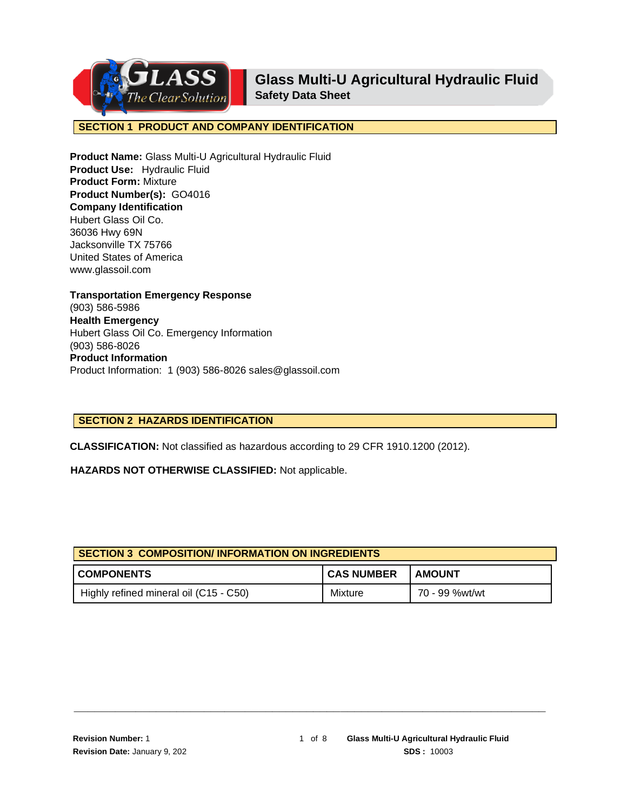

# **Glass Multi-U Agricultural Hydraulic Fluid Safety Data Sheet**

# **SECTION 1 PRODUCT AND COMPANY IDENTIFICATION**

**Product Name:** Glass Multi-U Agricultural Hydraulic Fluid **Product Use:** Hydraulic Fluid **Product Form:** Mixture **Product Number(s):** GO4016 **Company Identification** Hubert Glass Oil Co. 36036 Hwy 69N Jacksonville TX 75766 United States of America www.glassoil.com

**Transportation Emergency Response** (903) 586-5986 **Health Emergency** Hubert Glass Oil Co. Emergency Information (903) 586-8026 **Product Information**  Product Information: 1 (903) 586-8026 sales@glassoil.com

## **SECTION 2 HAZARDS IDENTIFICATION**

**CLASSIFICATION:** Not classified as hazardous according to 29 CFR 1910.1200 (2012).

**HAZARDS NOT OTHERWISE CLASSIFIED:** Not applicable.

| <b>SECTION 3 COMPOSITION/INFORMATION ON INGREDIENTS</b> |                   |                |
|---------------------------------------------------------|-------------------|----------------|
| <b>COMPONENTS</b>                                       | <b>CAS NUMBER</b> | <b>AMOUNT</b>  |
| Highly refined mineral oil (C15 - C50)                  | Mixture           | 70 - 99 %wt/wt |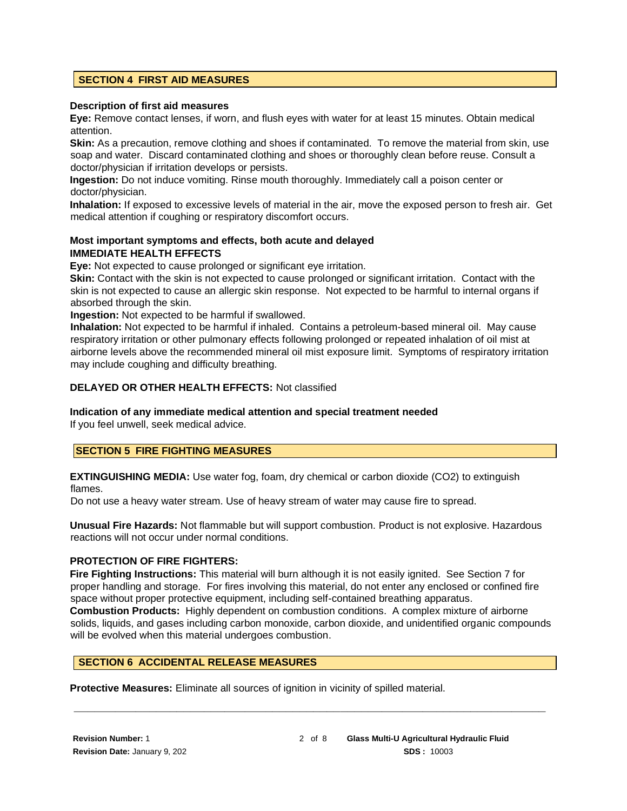## **SECTION 4 FIRST AID MEASURES**

### **Description of first aid measures**

**Eye:** Remove contact lenses, if worn, and flush eyes with water for at least 15 minutes. Obtain medical attention.

**Skin:** As a precaution, remove clothing and shoes if contaminated. To remove the material from skin, use soap and water. Discard contaminated clothing and shoes or thoroughly clean before reuse. Consult a doctor/physician if irritation develops or persists.

**Ingestion:** Do not induce vomiting. Rinse mouth thoroughly. Immediately call a poison center or doctor/physician.

**Inhalation:** If exposed to excessive levels of material in the air, move the exposed person to fresh air. Get medical attention if coughing or respiratory discomfort occurs.

### **Most important symptoms and effects, both acute and delayed IMMEDIATE HEALTH EFFECTS**

**Eye:** Not expected to cause prolonged or significant eye irritation.

**Skin:** Contact with the skin is not expected to cause prolonged or significant irritation. Contact with the skin is not expected to cause an allergic skin response. Not expected to be harmful to internal organs if absorbed through the skin.

**Ingestion:** Not expected to be harmful if swallowed.

**Inhalation:** Not expected to be harmful if inhaled. Contains a petroleum-based mineral oil. May cause respiratory irritation or other pulmonary effects following prolonged or repeated inhalation of oil mist at airborne levels above the recommended mineral oil mist exposure limit. Symptoms of respiratory irritation may include coughing and difficulty breathing.

### **DELAYED OR OTHER HEALTH EFFECTS:** Not classified

# **Indication of any immediate medical attention and special treatment needed**

If you feel unwell, seek medical advice.

## **SECTION 5 FIRE FIGHTING MEASURES**

**EXTINGUISHING MEDIA:** Use water fog, foam, dry chemical or carbon dioxide (CO2) to extinguish flames.

Do not use a heavy water stream. Use of heavy stream of water may cause fire to spread.

**Unusual Fire Hazards:** Not flammable but will support combustion. Product is not explosive. Hazardous reactions will not occur under normal conditions.

### **PROTECTION OF FIRE FIGHTERS:**

**Fire Fighting Instructions:** This material will burn although it is not easily ignited. See Section 7 for proper handling and storage. For fires involving this material, do not enter any enclosed or confined fire space without proper protective equipment, including self-contained breathing apparatus. **Combustion Products:** Highly dependent on combustion conditions. A complex mixture of airborne solids, liquids, and gases including carbon monoxide, carbon dioxide, and unidentified organic compounds will be evolved when this material undergoes combustion.

**\_\_\_\_\_\_\_\_\_\_\_\_\_\_\_\_\_\_\_\_\_\_\_\_\_\_\_\_\_\_\_\_\_\_\_\_\_\_\_\_\_\_\_\_\_\_\_\_\_\_\_\_\_\_\_\_\_\_\_\_\_\_\_\_\_\_\_\_\_**

# **SECTION 6 ACCIDENTAL RELEASE MEASURES**

**Protective Measures:** Eliminate all sources of ignition in vicinity of spilled material.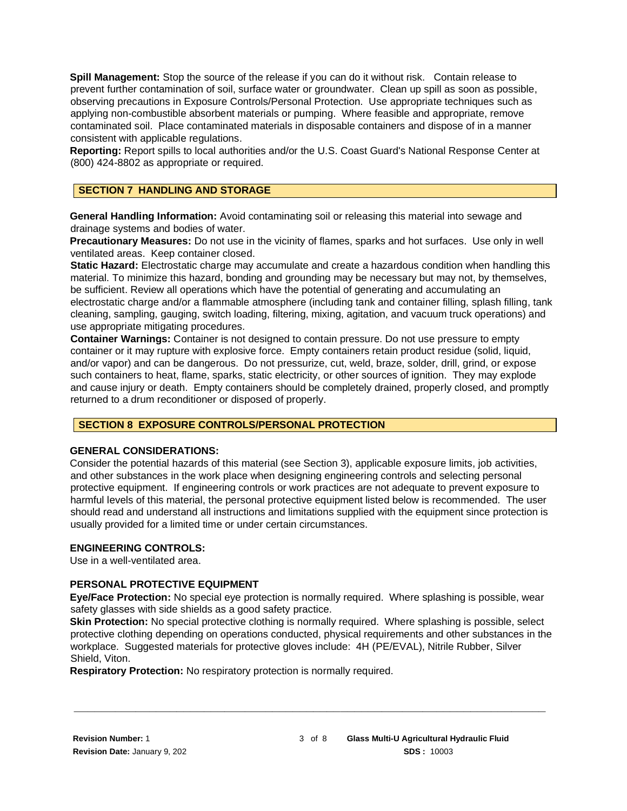**Spill Management:** Stop the source of the release if you can do it without risk. Contain release to prevent further contamination of soil, surface water or groundwater. Clean up spill as soon as possible, observing precautions in Exposure Controls/Personal Protection. Use appropriate techniques such as applying non-combustible absorbent materials or pumping. Where feasible and appropriate, remove contaminated soil. Place contaminated materials in disposable containers and dispose of in a manner consistent with applicable regulations.

**Reporting:** Report spills to local authorities and/or the U.S. Coast Guard's National Response Center at (800) 424-8802 as appropriate or required.

### **SECTION 7 HANDLING AND STORAGE**

**General Handling Information:** Avoid contaminating soil or releasing this material into sewage and drainage systems and bodies of water.

**Precautionary Measures:** Do not use in the vicinity of flames, sparks and hot surfaces. Use only in well ventilated areas. Keep container closed.

**Static Hazard:** Electrostatic charge may accumulate and create a hazardous condition when handling this material. To minimize this hazard, bonding and grounding may be necessary but may not, by themselves, be sufficient. Review all operations which have the potential of generating and accumulating an electrostatic charge and/or a flammable atmosphere (including tank and container filling, splash filling, tank cleaning, sampling, gauging, switch loading, filtering, mixing, agitation, and vacuum truck operations) and use appropriate mitigating procedures.

**Container Warnings:** Container is not designed to contain pressure. Do not use pressure to empty container or it may rupture with explosive force. Empty containers retain product residue (solid, liquid, and/or vapor) and can be dangerous. Do not pressurize, cut, weld, braze, solder, drill, grind, or expose such containers to heat, flame, sparks, static electricity, or other sources of ignition. They may explode and cause injury or death. Empty containers should be completely drained, properly closed, and promptly returned to a drum reconditioner or disposed of properly.

## **SECTION 8 EXPOSURE CONTROLS/PERSONAL PROTECTION**

### **GENERAL CONSIDERATIONS:**

Consider the potential hazards of this material (see Section 3), applicable exposure limits, job activities, and other substances in the work place when designing engineering controls and selecting personal protective equipment. If engineering controls or work practices are not adequate to prevent exposure to harmful levels of this material, the personal protective equipment listed below is recommended. The user should read and understand all instructions and limitations supplied with the equipment since protection is usually provided for a limited time or under certain circumstances.

### **ENGINEERING CONTROLS:**

Use in a well-ventilated area.

### **PERSONAL PROTECTIVE EQUIPMENT**

**Eye/Face Protection:** No special eye protection is normally required. Where splashing is possible, wear safety glasses with side shields as a good safety practice.

**Skin Protection:** No special protective clothing is normally required. Where splashing is possible, select protective clothing depending on operations conducted, physical requirements and other substances in the workplace. Suggested materials for protective gloves include: 4H (PE/EVAL), Nitrile Rubber, Silver Shield, Viton.

**\_\_\_\_\_\_\_\_\_\_\_\_\_\_\_\_\_\_\_\_\_\_\_\_\_\_\_\_\_\_\_\_\_\_\_\_\_\_\_\_\_\_\_\_\_\_\_\_\_\_\_\_\_\_\_\_\_\_\_\_\_\_\_\_\_\_\_\_\_**

**Respiratory Protection:** No respiratory protection is normally required.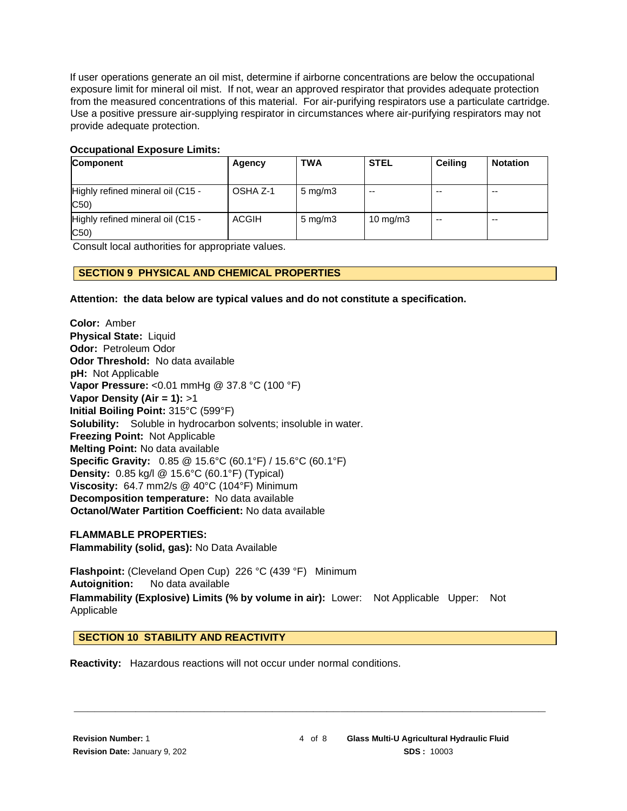If user operations generate an oil mist, determine if airborne concentrations are below the occupational exposure limit for mineral oil mist. If not, wear an approved respirator that provides adequate protection from the measured concentrations of this material. For air-purifying respirators use a particulate cartridge. Use a positive pressure air-supplying respirator in circumstances where air-purifying respirators may not provide adequate protection.

### **Occupational Exposure Limits:**

| <b>Component</b>                          | Agency       | <b>TWA</b>         | <b>STEL</b> | <b>Ceiling</b> | <b>Notation</b> |
|-------------------------------------------|--------------|--------------------|-------------|----------------|-----------------|
| Highly refined mineral oil (C15 -<br>C50  | OSHA Z-1     | $5 \text{ mg/m}$ 3 | $- -$       | $-$            | $-$             |
| Highly refined mineral oil (C15 -<br>C50) | <b>ACGIH</b> | $5 \text{ mg/m}$ 3 | 10 mg/m $3$ | $-$            | $-$             |

Consult local authorities for appropriate values.

## **SECTION 9 PHYSICAL AND CHEMICAL PROPERTIES**

**Attention: the data below are typical values and do not constitute a specification.**

**Color:** Amber **Physical State:** Liquid **Odor:** Petroleum Odor **Odor Threshold:** No data available **pH:** Not Applicable **Vapor Pressure:** <0.01 mmHg @ 37.8 °C (100 °F) **Vapor Density (Air = 1):** >1 **Initial Boiling Point:** 315°C (599°F) **Solubility:** Soluble in hydrocarbon solvents; insoluble in water. **Freezing Point:** Not Applicable **Melting Point:** No data available **Specific Gravity:** 0.85 @ 15.6°C (60.1°F) / 15.6°C (60.1°F) **Density:** 0.85 kg/l @ 15.6°C (60.1°F) (Typical) **Viscosity:** 64.7 mm2/s @ 40°C (104°F) Minimum **Decomposition temperature:** No data available **Octanol/Water Partition Coefficient:** No data available

**FLAMMABLE PROPERTIES: Flammability (solid, gas):** No Data Available

**Flashpoint:** (Cleveland Open Cup) 226 °C (439 °F) Minimum **Autoignition:** No data available **Flammability (Explosive) Limits (% by volume in air):** Lower: Not Applicable Upper: Not Applicable

**\_\_\_\_\_\_\_\_\_\_\_\_\_\_\_\_\_\_\_\_\_\_\_\_\_\_\_\_\_\_\_\_\_\_\_\_\_\_\_\_\_\_\_\_\_\_\_\_\_\_\_\_\_\_\_\_\_\_\_\_\_\_\_\_\_\_\_\_\_**

## **SECTION 10 STABILITY AND REACTIVITY**

**Reactivity:** Hazardous reactions will not occur under normal conditions.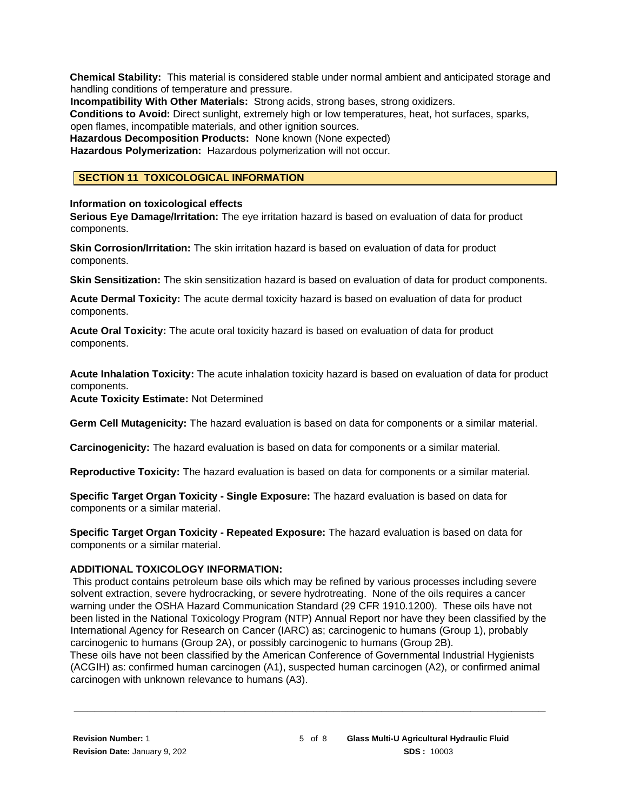**Chemical Stability:** This material is considered stable under normal ambient and anticipated storage and handling conditions of temperature and pressure.

**Incompatibility With Other Materials:** Strong acids, strong bases, strong oxidizers.

**Conditions to Avoid:** Direct sunlight, extremely high or low temperatures, heat, hot surfaces, sparks, open flames, incompatible materials, and other ignition sources.

**Hazardous Decomposition Products:** None known (None expected)

**Hazardous Polymerization:** Hazardous polymerization will not occur.

# **SECTION 11 TOXICOLOGICAL INFORMATION**

# **Information on toxicological effects**

**Serious Eye Damage/Irritation:** The eye irritation hazard is based on evaluation of data for product components.

**Skin Corrosion/Irritation:** The skin irritation hazard is based on evaluation of data for product components.

**Skin Sensitization:** The skin sensitization hazard is based on evaluation of data for product components.

**Acute Dermal Toxicity:** The acute dermal toxicity hazard is based on evaluation of data for product components.

**Acute Oral Toxicity:** The acute oral toxicity hazard is based on evaluation of data for product components.

**Acute Inhalation Toxicity:** The acute inhalation toxicity hazard is based on evaluation of data for product components.

**Acute Toxicity Estimate:** Not Determined

**Germ Cell Mutagenicity:** The hazard evaluation is based on data for components or a similar material.

**Carcinogenicity:** The hazard evaluation is based on data for components or a similar material.

**Reproductive Toxicity:** The hazard evaluation is based on data for components or a similar material.

**Specific Target Organ Toxicity - Single Exposure:** The hazard evaluation is based on data for components or a similar material.

**Specific Target Organ Toxicity - Repeated Exposure:** The hazard evaluation is based on data for components or a similar material.

# **ADDITIONAL TOXICOLOGY INFORMATION:**

This product contains petroleum base oils which may be refined by various processes including severe solvent extraction, severe hydrocracking, or severe hydrotreating. None of the oils requires a cancer warning under the OSHA Hazard Communication Standard (29 CFR 1910.1200). These oils have not been listed in the National Toxicology Program (NTP) Annual Report nor have they been classified by the International Agency for Research on Cancer (IARC) as; carcinogenic to humans (Group 1), probably carcinogenic to humans (Group 2A), or possibly carcinogenic to humans (Group 2B). These oils have not been classified by the American Conference of Governmental Industrial Hygienists (ACGIH) as: confirmed human carcinogen (A1), suspected human carcinogen (A2), or confirmed animal carcinogen with unknown relevance to humans (A3).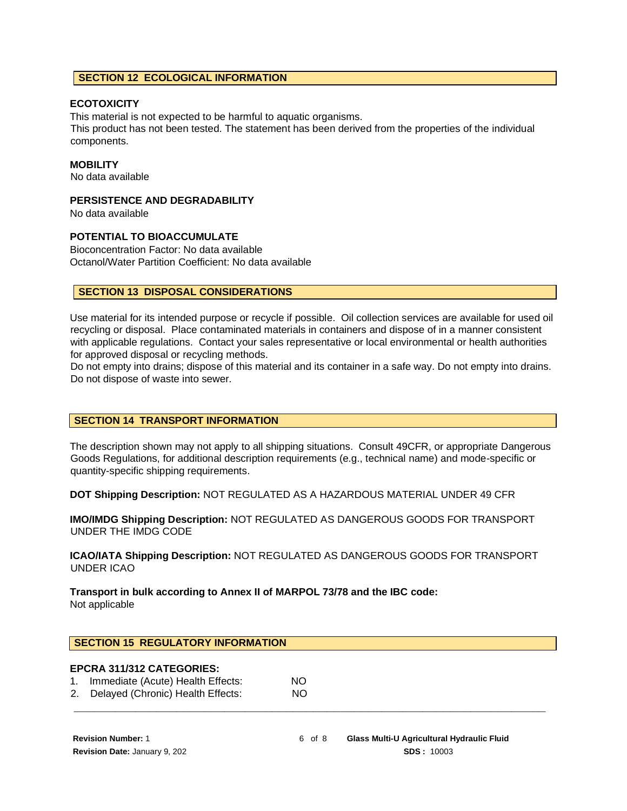### **SECTION 12 ECOLOGICAL INFORMATION**

### **ECOTOXICITY**

This material is not expected to be harmful to aquatic organisms.

This product has not been tested. The statement has been derived from the properties of the individual components.

## **MOBILITY**

No data available

### **PERSISTENCE AND DEGRADABILITY**

No data available

## **POTENTIAL TO BIOACCUMULATE**

Bioconcentration Factor: No data available Octanol/Water Partition Coefficient: No data available

### **SECTION 13 DISPOSAL CONSIDERATIONS**

Use material for its intended purpose or recycle if possible. Oil collection services are available for used oil recycling or disposal. Place contaminated materials in containers and dispose of in a manner consistent with applicable regulations. Contact your sales representative or local environmental or health authorities for approved disposal or recycling methods.

Do not empty into drains; dispose of this material and its container in a safe way. Do not empty into drains. Do not dispose of waste into sewer.

## **SECTION 14 TRANSPORT INFORMATION**

The description shown may not apply to all shipping situations. Consult 49CFR, or appropriate Dangerous Goods Regulations, for additional description requirements (e.g., technical name) and mode-specific or quantity-specific shipping requirements.

**DOT Shipping Description:** NOT REGULATED AS A HAZARDOUS MATERIAL UNDER 49 CFR

**IMO/IMDG Shipping Description:** NOT REGULATED AS DANGEROUS GOODS FOR TRANSPORT UNDER THE IMDG CODE

**ICAO/IATA Shipping Description:** NOT REGULATED AS DANGEROUS GOODS FOR TRANSPORT UNDER ICAO

**\_\_\_\_\_\_\_\_\_\_\_\_\_\_\_\_\_\_\_\_\_\_\_\_\_\_\_\_\_\_\_\_\_\_\_\_\_\_\_\_\_\_\_\_\_\_\_\_\_\_\_\_\_\_\_\_\_\_\_\_\_\_\_\_\_\_\_\_\_**

**Transport in bulk according to Annex II of MARPOL 73/78 and the IBC code:** Not applicable

### **SECTION 15 REGULATORY INFORMATION**

### **EPCRA 311/312 CATEGORIES:**

|    | Immediate (Acute) Health Effects: | NO. |
|----|-----------------------------------|-----|
| 2. | Delayed (Chronic) Health Effects: | NO. |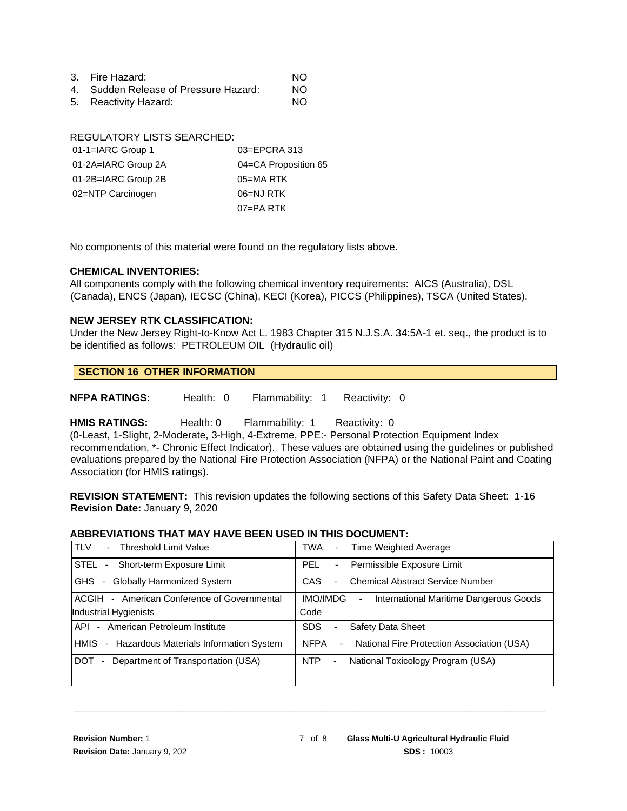| 3. Fire Hazard:                       | NΟ |
|---------------------------------------|----|
| 4. Sudden Release of Pressure Hazard: | NΟ |

5. Reactivity Hazard: NO

# REGULATORY LISTS SEARCHED:

| $01-1=IARC$ Group 1 | 03=EPCRA 313         |
|---------------------|----------------------|
| 01-2A=IARC Group 2A | 04=CA Proposition 65 |
| 01-2B=IARC Group 2B | 05=MA RTK            |
| 02=NTP Carcinogen   | 06=NJ RTK            |
|                     | 07=PA RTK            |

No components of this material were found on the regulatory lists above.

### **CHEMICAL INVENTORIES:**

All components comply with the following chemical inventory requirements: AICS (Australia), DSL (Canada), ENCS (Japan), IECSC (China), KECI (Korea), PICCS (Philippines), TSCA (United States).

### **NEW JERSEY RTK CLASSIFICATION:**

Under the New Jersey Right-to-Know Act L. 1983 Chapter 315 N.J.S.A. 34:5A-1 et. seq., the product is to be identified as follows: PETROLEUM OIL (Hydraulic oil)

**NFPA RATINGS:** Health: 0 Flammability: 1 Reactivity: 0

**HMIS RATINGS:** Health: 0 Flammability: 1 Reactivity: 0

(0-Least, 1-Slight, 2-Moderate, 3-High, 4-Extreme, PPE:- Personal Protection Equipment Index recommendation, \*- Chronic Effect Indicator). These values are obtained using the guidelines or published evaluations prepared by the National Fire Protection Association (NFPA) or the National Paint and Coating Association (for HMIS ratings).

**REVISION STATEMENT:** This revision updates the following sections of this Safety Data Sheet: 1-16 **Revision Date:** January 9, 2020

### **ABBREVIATIONS THAT MAY HAVE BEEN USED IN THIS DOCUMENT:**

| TLV<br>Threshold Limit Value<br>$\sim$              | Time Weighted Average<br>TWA<br>$\sim 10$                                             |
|-----------------------------------------------------|---------------------------------------------------------------------------------------|
| STEL - Short-term Exposure Limit                    | - Permissible Exposure Limit<br>PEL                                                   |
| Globally Harmonized System<br><b>GHS</b><br>$\sim$  | <b>Chemical Abstract Service Number</b><br>CAS.<br>$\blacksquare$                     |
| ACGIH - American Conference of Governmental         | <b>IMO/IMDG</b><br>International Maritime Dangerous Goods<br>$\overline{\phantom{a}}$ |
| Industrial Hygienists                               | Code                                                                                  |
| API - American Petroleum Institute                  | <b>Safety Data Sheet</b><br><b>SDS</b><br>٠                                           |
| - Hazardous Materials Information System<br>HMIS    | <b>NFPA</b><br>National Fire Protection Association (USA)<br>$\overline{\phantom{a}}$ |
| DOT<br>Department of Transportation (USA)<br>$\sim$ | NTP<br>National Toxicology Program (USA)<br>$\overline{\phantom{a}}$                  |
|                                                     |                                                                                       |